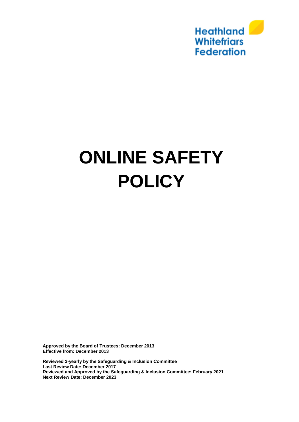

# **ONLINE SAFETY POLICY**

**Approved by the Board of Trustees: December 2013 Effective from: December 2013**

**Reviewed 3-yearly by the Safeguarding & Inclusion Committee Last Review Date: December 2017 Reviewed and Approved by the Safeguarding & Inclusion Committee: February 2021 Next Review Date: December 2023**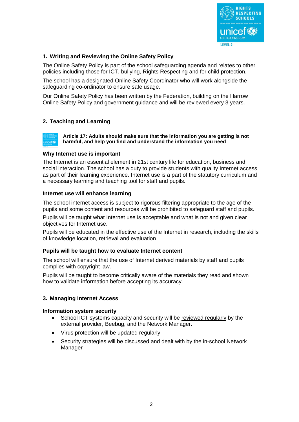

# **1. Writing and Reviewing the Online Safety Policy**

The Online Safety Policy is part of the school safeguarding agenda and relates to other policies including those for ICT, bullying, Rights Respecting and for child protection.

The school has a designated Online Safety Coordinator who will work alongside the safeguarding co-ordinator to ensure safe usage.

Our Online Safety Policy has been written by the Federation, building on the Harrow Online Safety Policy and government guidance and will be reviewed every 3 years.

## **2. Teaching and Learning**

**Article 17: Adults should make sure that the information you are getting is not harmful, and help you find and understand the information you need** unicef<sup>(20</sup>

#### **Why Internet use is important**

The Internet is an essential element in 21st century life for education, business and social interaction. The school has a duty to provide students with quality Internet access as part of their learning experience. Internet use is a part of the statutory curriculum and a necessary learning and teaching tool for staff and pupils.

#### **Internet use will enhance learning**

The school internet access is subject to rigorous filtering appropriate to the age of the pupils and some content and resources will be prohibited to safeguard staff and pupils.

Pupils will be taught what Internet use is acceptable and what is not and given clear objectives for Internet use.

Pupils will be educated in the effective use of the Internet in research, including the skills of knowledge location, retrieval and evaluation

## **Pupils will be taught how to evaluate Internet content**

The school will ensure that the use of Internet derived materials by staff and pupils complies with copyright law.

Pupils will be taught to become critically aware of the materials they read and shown how to validate information before accepting its accuracy.

## **3. Managing Internet Access**

#### **Information system security**

- School ICT systems capacity and security will be reviewed regularly by the external provider, Beebug, and the Network Manager.
- Virus protection will be updated regularly
- Security strategies will be discussed and dealt with by the in-school Network Manager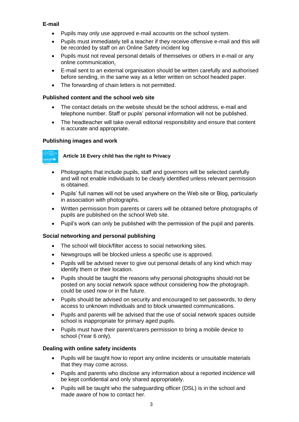# **E-mail**

- Pupils may only use approved e-mail accounts on the school system.
- Pupils must immediately tell a teacher if they receive offensive e-mail and this will be recorded by staff on an Online Safety incident log
- Pupils must not reveal personal details of themselves or others in e-mail or any online communication.
- E-mail sent to an external organisation should be written carefully and authorised before sending, in the same way as a letter written on school headed paper.
- The forwarding of chain letters is not permitted.

## **Published content and the school web site**

- The contact details on the website should be the school address, e-mail and telephone number. Staff or pupils' personal information will not be published.
- The headteacher will take overall editorial responsibility and ensure that content is accurate and appropriate.

# **Publishing images and work**



# **Article 16 Every child has the right to Privacy**

- Photographs that include pupils, staff and governors will be selected carefully and will not enable individuals to be clearly identified unless relevant permission is obtained.
- Pupils' full names will not be used anywhere on the Web site or Blog, particularly in association with photographs.
- Written permission from parents or carers will be obtained before photographs of pupils are published on the school Web site.
- Pupil's work can only be published with the permission of the pupil and parents.

## **Social networking and personal publishing**

- The school will block/filter access to social networking sites.
- Newsgroups will be blocked unless a specific use is approved.
- Pupils will be advised never to give out personal details of any kind which may identify them or their location.
- Pupils should be taught the reasons why personal photographs should not be posted on any social network space without considering how the photograph. could be used now or in the future.
- Pupils should be advised on security and encouraged to set passwords, to deny access to unknown individuals and to block unwanted communications.
- Pupils and parents will be advised that the use of social network spaces outside school is inappropriate for primary aged pupils.
- Pupils must have their parent/carers permission to bring a mobile device to school (Year 6 only).

## **Dealing with online safety incidents**

- Pupils will be taught how to report any online incidents or unsuitable materials that they may come across.
- Pupils and parents who disclose any information about a reported incidence will be kept confidential and only shared appropriately.
- Pupils will be taught who the safeguarding officer (DSL) is in the school and made aware of how to contact her.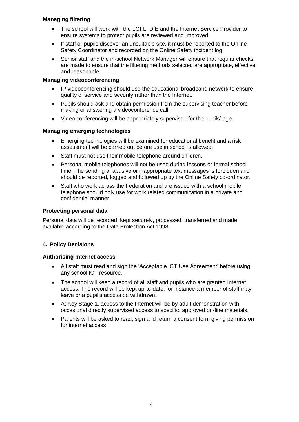# **Managing filtering**

- The school will work with the LGFL, DfE and the Internet Service Provider to ensure systems to protect pupils are reviewed and improved.
- If staff or pupils discover an unsuitable site, it must be reported to the Online Safety Coordinator and recorded on the Online Safety incident log
- Senior staff and the in-school Network Manager will ensure that regular checks are made to ensure that the filtering methods selected are appropriate, effective and reasonable.

## **Managing videoconferencing**

- IP videoconferencing should use the educational broadband network to ensure quality of service and security rather than the Internet.
- Pupils should ask and obtain permission from the supervising teacher before making or answering a videoconference call.
- Video conferencing will be appropriately supervised for the pupils' age.

## **Managing emerging technologies**

- Emerging technologies will be examined for educational benefit and a risk assessment will be carried out before use in school is allowed.
- Staff must not use their mobile telephone around children.
- Personal mobile telephones will not be used during lessons or formal school time. The sending of abusive or inappropriate text messages is forbidden and should be reported, logged and followed up by the Online Safety co-ordinator.
- Staff who work across the Federation and are issued with a school mobile telephone should only use for work related communication in a private and confidential manner.

## **Protecting personal data**

Personal data will be recorded, kept securely, processed, transferred and made available according to the Data Protection Act 1998.

# **4. Policy Decisions**

## **Authorising Internet access**

- All staff must read and sign the 'Acceptable ICT Use Agreement' before using any school ICT resource.
- The school will keep a record of all staff and pupils who are granted Internet access. The record will be kept up-to-date, for instance a member of staff may leave or a pupil's access be withdrawn.
- At Key Stage 1, access to the Internet will be by adult demonstration with occasional directly supervised access to specific, approved on-line materials.
- Parents will be asked to read, sign and return a consent form giving permission for internet access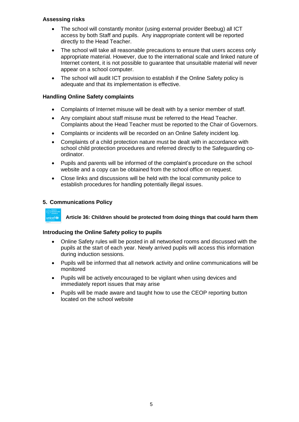# **Assessing risks**

- The school will constantly monitor (using external provider Beebug) all ICT access by both Staff and pupils. Any inappropriate content will be reported directly to the Head Teacher.
- The school will take all reasonable precautions to ensure that users access only appropriate material. However, due to the international scale and linked nature of Internet content, it is not possible to guarantee that unsuitable material will never appear on a school computer.
- The school will audit ICT provision to establish if the Online Safety policy is adequate and that its implementation is effective.

# **Handling Online Safety complaints**

- Complaints of Internet misuse will be dealt with by a senior member of staff.
- Any complaint about staff misuse must be referred to the Head Teacher. Complaints about the Head Teacher must be reported to the Chair of Governors.
- Complaints or incidents will be recorded on an Online Safety incident log.
- Complaints of a child protection nature must be dealt with in accordance with school child protection procedures and referred directly to the Safeguarding coordinator.
- Pupils and parents will be informed of the complaint's procedure on the school website and a copy can be obtained from the school office on request.
- Close links and discussions will be held with the local community police to establish procedures for handling potentially illegal issues.

# **5. Communications Policy**



**Article 36: Children should be protected from doing things that could harm them**

## **Introducing the Online Safety policy to pupils**

- Online Safety rules will be posted in all networked rooms and discussed with the pupils at the start of each year. Newly arrived pupils will access this information during induction sessions.
- Pupils will be informed that all network activity and online communications will be monitored
- Pupils will be actively encouraged to be vigilant when using devices and immediately report issues that may arise
- Pupils will be made aware and taught how to use the CEOP reporting button located on the school website